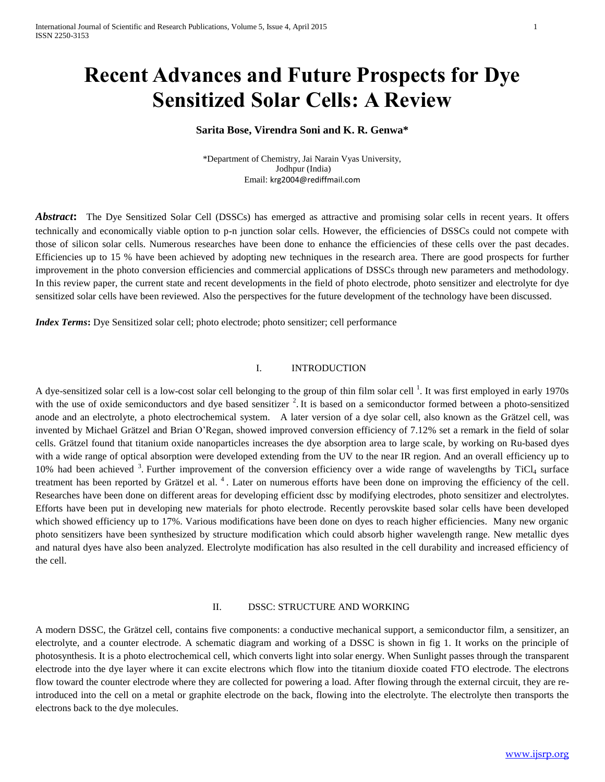# **Recent Advances and Future Prospects for Dye Sensitized Solar Cells: A Review**

# **Sarita Bose, Virendra Soni and K. R. Genwa\***

\*Department of Chemistry, Jai Narain Vyas University, Jodhpur (India) Email: [krg2004@rediffmail.com](mailto:krg2004@rediffmail.com)

*Abstract***:** The Dye Sensitized Solar Cell (DSSCs) has emerged as attractive and promising solar cells in recent years. It offers technically and economically viable option to p-n junction solar cells. However, the efficiencies of DSSCs could not compete with those of silicon solar cells. Numerous researches have been done to enhance the efficiencies of these cells over the past decades. Efficiencies up to 15 % have been achieved by adopting new techniques in the research area. There are good prospects for further improvement in the photo conversion efficiencies and commercial applications of DSSCs through new parameters and methodology. In this review paper, the current state and recent developments in the field of photo electrode, photo sensitizer and electrolyte for dye sensitized solar cells have been reviewed. Also the perspectives for the future development of the technology have been discussed.

*Index Terms*: Dye Sensitized solar cell; photo electrode; photo sensitizer; cell performance

# I. INTRODUCTION

A dye-sensitized solar cell is a low-cost solar cell belonging to the group of thin film solar cell  $^1$ . It was first employed in early 1970s with the use of oxide semiconductors and dye based sensitizer  $2$ . It is based on a semiconductor formed between a photo-sensitized anode and an electrolyte, a photo electrochemical system. A later version of a dye solar cell, also known as the Grätzel cell, was invented by [Michael](file:///D:/wiki/Michael_GrÃ¤tzel) Grätzel and Brian O'Regan, showed improved conversion efficiency of 7.12% set a remark in the field of solar cells. Grätzel found that titanium oxide nanoparticles increases the dye absorption area to large scale, by working on Ru-based dyes with a wide range of optical absorption were developed extending from the UV to the near IR region. And an overall efficiency up to 10% had been achieved  $3$ . Further improvement of the conversion efficiency over a wide range of wavelengths by TiCl<sub>4</sub> surface treatment has been reported by Grätzel et al.<sup>4</sup>. Later on numerous efforts have been done on improving the efficiency of the cell. Researches have been done on different areas for developing efficient dssc by modifying electrodes, photo sensitizer and electrolytes. Efforts have been put in developing new materials for photo electrode. Recently perovskite based solar cells have been developed which showed efficiency up to 17%. Various modifications have been done on dyes to reach higher efficiencies. Many new organic photo sensitizers have been synthesized by structure modification which could absorb higher wavelength range. New metallic dyes and natural dyes have also been analyzed. Electrolyte modification has also resulted in the cell durability and increased efficiency of the cell.

#### II. DSSC: STRUCTURE AND WORKING

A modern DSSC, the Grätzel cell, contains five components: a conductive mechanical support, a semiconductor film, a sensitizer, an electrolyte, and a counter electrode. A schematic diagram and working of a DSSC is shown in fig 1. It works on the principle of photosynthesis. It is a photo electrochemical cell, which converts light into solar energy. When Sunlight passes through the transparent electrode into the dye layer where it can excite electrons which flow into the titanium dioxide coated FTO electrode. The electrons flow toward the counter electrode where they are collected for powering a load. After flowing through the external circuit, they are reintroduced into the cell on a metal or graphite electrode on the back, flowing into the electrolyte. The electrolyte then transports the electrons back to the dye molecules.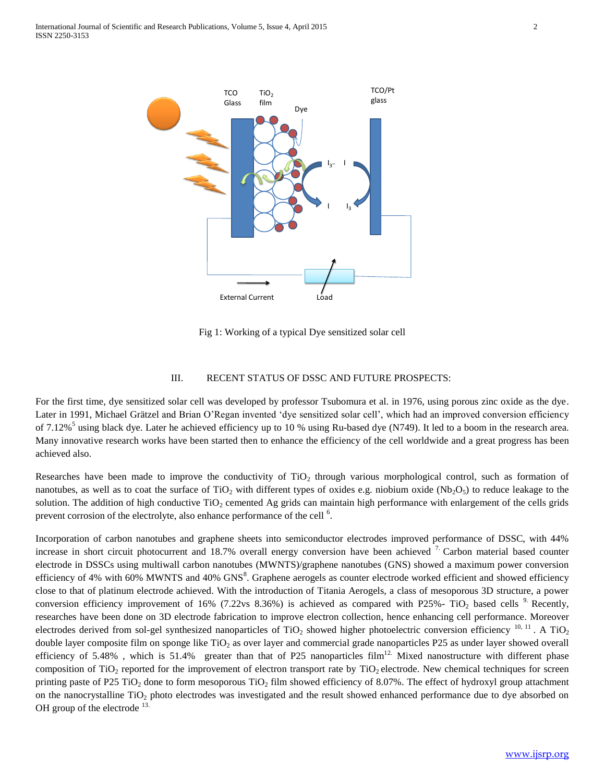

Fig 1: Working of a typical Dye sensitized solar cell

## III. RECENT STATUS OF DSSC AND FUTURE PROSPECTS:

For the first time, dye sensitized solar cell was developed by professor Tsubomura et al. in 1976, using porous zinc oxide as the dye. Later in 1991, Michael Grätzel and Brian O'Regan invented 'dye sensitized solar cell', which had an improved conversion efficiency of 7.12%<sup>5</sup> using black dye. Later he achieved efficiency up to 10 % using Ru-based dye (N749). It led to a boom in the research area. Many innovative research works have been started then to enhance the efficiency of the cell worldwide and a great progress has been achieved also.

Researches have been made to improve the conductivity of  $TiO<sub>2</sub>$  through various morphological control, such as formation of nanotubes, as well as to coat the surface of TiO<sub>2</sub> with different types of oxides e.g. niobium oxide (Nb<sub>2</sub>O<sub>5</sub>) to reduce leakage to the solution. The addition of high conductive  $TiO<sub>2</sub>$  cemented Ag grids can maintain high performance with enlargement of the cells grids prevent corrosion of the electrolyte, also enhance performance of the cell  $<sup>6</sup>$ .</sup>

Incorporation of carbon nanotubes and graphene sheets into semiconductor electrodes improved performance of DSSC, with 44% increase in short circuit photocurrent and 18.7% overall energy conversion have been achieved  $7$  Carbon material based counter electrode in DSSCs using multiwall carbon nanotubes (MWNTS)/graphene nanotubes (GNS) showed a maximum power conversion efficiency of 4% with 60% MWNTS and 40% GNS $^8$ . Graphene aerogels as counter electrode worked efficient and showed efficiency close to that of platinum electrode achieved. With the introduction of Titania Aerogels, a class of mesoporous 3D structure, a power conversion efficiency improvement of 16% (7.22vs 8.36%) is achieved as compared with P25%- TiO<sub>2</sub> based cells <sup>9</sup>. Recently, researches have been done on 3D electrode fabrication to improve electron collection, hence enhancing cell performance. Moreover electrodes derived from sol-gel synthesized nanoparticles of  $TiO<sub>2</sub>$  showed higher photoelectric conversion efficiency  $^{10, 11}$ . A  $TiO<sub>2</sub>$ double layer composite film on sponge like TiO<sub>2</sub> as over layer and commercial grade nanoparticles P25 as under layer showed overall efficiency of 5.48%, which is 51.4% greater than that of P25 nanoparticles film<sup>12.</sup> Mixed nanostructure with different phase composition of TiO<sub>2</sub> reported for the improvement of electron transport rate by TiO<sub>2</sub> electrode. New chemical techniques for screen printing paste of P25 TiO<sub>2</sub> done to form mesoporous TiO<sub>2</sub> film showed efficiency of 8.07%. The effect of hydroxyl group attachment on the nanocrystalline TiO<sub>2</sub> photo electrodes was investigated and the result showed enhanced performance due to dye absorbed on OH group of the electrode  $^{13}$ .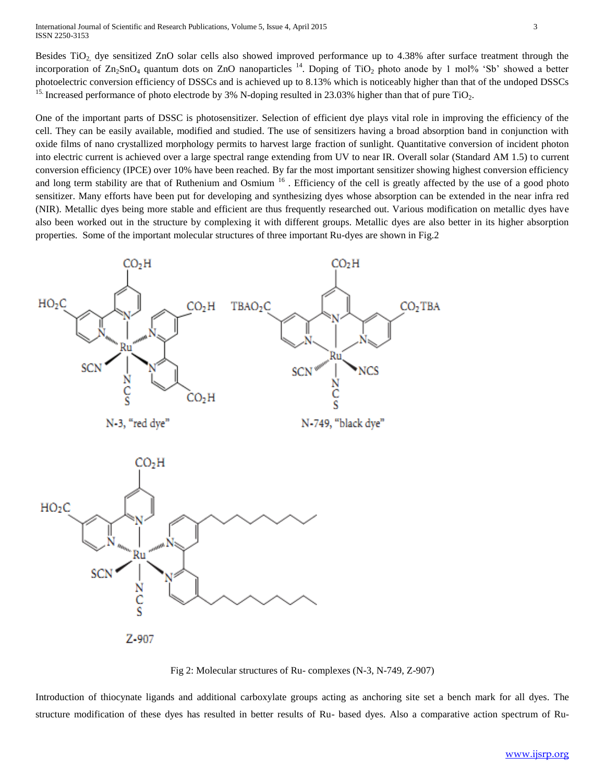Besides TiO<sub>2</sub>, dye sensitized ZnO solar cells also showed improved performance up to 4.38% after surface treatment through the incorporation of  $\text{Zn}_2\text{SnO}_4$  quantum dots on ZnO nanoparticles  $^{14}$ . Doping of TiO<sub>2</sub> photo anode by 1 mol% 'Sb' showed a better photoelectric conversion efficiency of DSSCs and is achieved up to 8.13% which is noticeably higher than that of the undoped DSSCs <sup>15.</sup> Increased performance of photo electrode by 3% N-doping resulted in 23.03% higher than that of pure TiO<sub>2</sub>.

One of the important parts of DSSC is photosensitizer. Selection of efficient dye plays vital role in improving the efficiency of the cell. They can be easily available, modified and studied. The use of sensitizers having a broad absorption band in conjunction with oxide films of nano crystallized morphology permits to harvest large fraction of sunlight. Quantitative conversion of incident photon into electric current is achieved over a large spectral range extending from UV to near IR. Overall solar (Standard AM 1.5) to current conversion efficiency (IPCE) over 10% have been reached. By far the most important sensitizer showing highest conversion efficiency and long term stability are that of Ruthenium and Osmium  $16$ . Efficiency of the cell is greatly affected by the use of a good photo sensitizer. Many efforts have been put for developing and synthesizing dyes whose absorption can be extended in the near infra red (NIR). Metallic dyes being more stable and efficient are thus frequently researched out. Various modification on metallic dyes have also been worked out in the structure by complexing it with different groups. Metallic dyes are also better in its higher absorption properties. Some of the important molecular structures of three important Ru-dyes are shown in Fig.2





Fig 2: Molecular structures of Ru- complexes (N-3, N-749, Z-907)

Introduction of thiocynate ligands and additional carboxylate groups acting as anchoring site set a bench mark for all dyes. The structure modification of these dyes has resulted in better results of Ru- based dyes. Also a comparative action spectrum of Ru-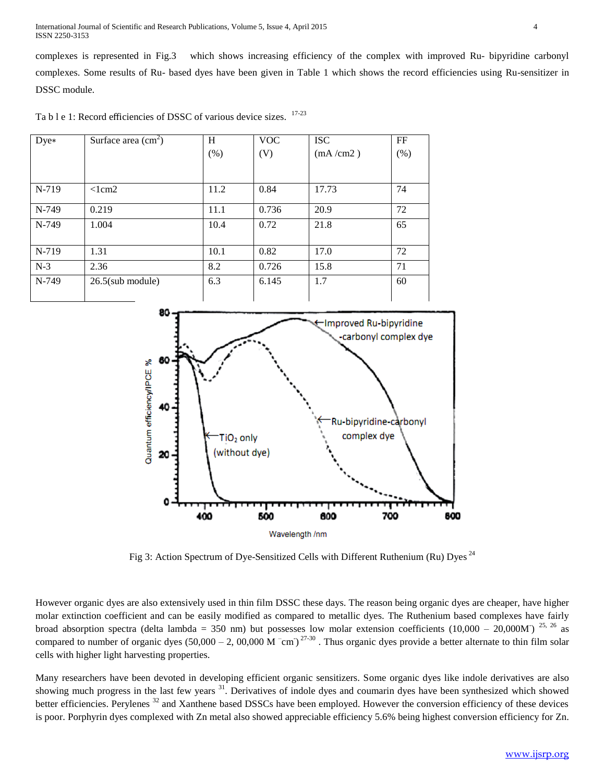International Journal of Scientific and Research Publications, Volume 5, Issue 4, April 2015 4 ISSN 2250-3153

complexes is represented in Fig.3 which shows increasing efficiency of the complex with improved Ru- bipyridine carbonyl complexes. Some results of Ru- based dyes have been given in Table 1 which shows the record efficiencies using Ru-sensitizer in DSSC module.

Ta b l e 1: Record efficiencies of DSSC of various device sizes. <sup>17-23</sup>

| $Dve*$ | Surface area $\text{cm}^2$ ) | H    | <b>VOC</b> | <b>ISC</b> | FF  |
|--------|------------------------------|------|------------|------------|-----|
|        |                              | (% ) | (V)        | (mA/cm2)   | (%) |
|        |                              |      |            |            |     |
| N-719  | $<$ lcm2                     | 11.2 | 0.84       | 17.73      | 74  |
| N-749  | 0.219                        | 11.1 | 0.736      | 20.9       | 72  |
| N-749  | 1.004                        | 10.4 | 0.72       | 21.8       | 65  |
|        |                              |      |            |            |     |
| N-719  | 1.31                         | 10.1 | 0.82       | 17.0       | 72  |
| $N-3$  | 2.36                         | 8.2  | 0.726      | 15.8       | 71  |
| N-749  | $26.5$ (sub module)          | 6.3  | 6.145      | 1.7        | 60  |
|        |                              |      |            |            |     |



Fig 3: Action Spectrum of Dye-Sensitized Cells with Different Ruthenium (Ru) Dyes<sup>24</sup>

However organic dyes are also extensively used in thin film DSSC these days. The reason being organic dyes are cheaper, have higher molar extinction coefficient and can be easily modified as compared to metallic dyes. The Ruthenium based complexes have fairly broad absorption spectra (delta lambda = 350 nm) but possesses low molar extension coefficients  $(10,000 - 20,000M)^{25,26}$  as compared to number of organic dyes  $(50,000 - 2, 00,000 \text{ M}^{-} \text{cm})^{27\text{-}30}$ . Thus organic dyes provide a better alternate to thin film solar cells with higher light harvesting properties.

Many researchers have been devoted in developing efficient organic sensitizers. Some organic dyes like indole derivatives are also showing much progress in the last few years <sup>31</sup>. Derivatives of indole dyes and coumarin dyes have been synthesized which showed better efficiencies. Perylenes <sup>32</sup> and Xanthene based DSSCs have been employed. However the conversion efficiency of these devices is poor. Porphyrin dyes complexed with Zn metal also showed appreciable efficiency 5.6% being highest conversion efficiency for Zn.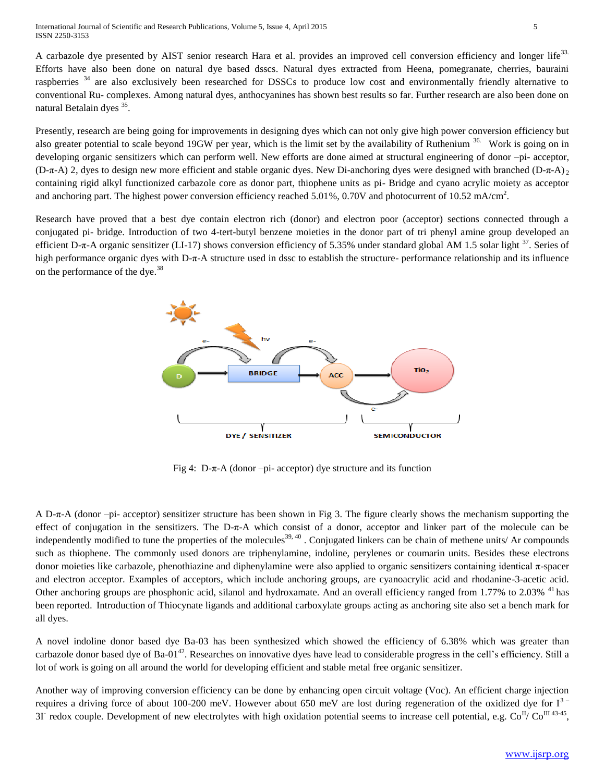A carbazole dye presented by AIST senior research Hara et al. provides an improved cell conversion efficiency and longer life<sup>33.</sup> Efforts have also been done on natural dye based dsscs. Natural dyes extracted from Heena, pomegranate, cherries, bauraini raspberries <sup>34</sup> are also exclusively been researched for DSSCs to produce low cost and environmentally friendly alternative to conventional Ru- complexes. Among natural dyes, anthocyanines has shown best results so far. Further research are also been done on natural Betalain dyes<sup>35</sup>.

Presently, research are being going for improvements in designing dyes which can not only give high power conversion efficiency but also greater potential to scale beyond 19GW per year, which is the limit set by the availability of Ruthenium <sup>36.</sup> Work is going on in developing organic sensitizers which can perform well. New efforts are done aimed at structural engineering of donor –pi- acceptor, (D-π-A) 2, dyes to design new more efficient and stable organic dyes. New Di-anchoring dyes were designed with branched (D-π-A)  $\alpha$ containing rigid alkyl functionized carbazole core as donor part, thiophene units as pi- Bridge and cyano acrylic moiety as acceptor and anchoring part. The highest power conversion efficiency reached 5.01%, 0.70V and photocurrent of 10.52 mA/cm<sup>2</sup>.

Research have proved that a best dye contain electron rich (donor) and electron poor (acceptor) sections connected through a conjugated pi- bridge. Introduction of two 4-tert-butyl benzene moieties in the donor part of tri phenyl amine group developed an efficient D- $\pi$ -A organic sensitizer (LI-17) shows conversion efficiency of 5.35% under standard global AM 1.5 solar light  $37$ . Series of high performance organic dyes with D-π-A structure used in dssc to establish the structure- performance relationship and its influence on the performance of the dye.<sup>38</sup>



Fig 4: D- $\pi$ -A (donor –pi- acceptor) dye structure and its function

A D-π-A (donor –pi- acceptor) sensitizer structure has been shown in Fig 3. The figure clearly shows the mechanism supporting the effect of conjugation in the sensitizers. The D-π-A which consist of a donor, acceptor and linker part of the molecule can be independently modified to tune the properties of the molecules<sup>39, 40</sup>. Conjugated linkers can be chain of methene units/ Ar compounds such as thiophene. The commonly used donors are triphenylamine, indoline, perylenes or coumarin units. Besides these electrons donor moieties like carbazole, phenothiazine and diphenylamine were also applied to organic sensitizers containing identical π-spacer and electron acceptor. Examples of acceptors, which include anchoring groups, are cyanoacrylic acid and rhodanine-3-acetic acid. Other anchoring groups are phosphonic acid, silanol and hydroxamate. And an overall efficiency ranged from 1.77% to 2.03% <sup>41</sup> has been reported. Introduction of Thiocynate ligands and additional carboxylate groups acting as anchoring site also set a bench mark for all dyes.

A novel indoline donor based dye Ba-03 has been synthesized which showed the efficiency of 6.38% which was greater than carbazole donor based dye of Ba-01<sup>42</sup>. Researches on innovative dyes have lead to considerable progress in the cell's efficiency. Still a lot of work is going on all around the world for developing efficient and stable metal free organic sensitizer.

Another way of improving conversion efficiency can be done by enhancing open circuit voltage (Voc). An efficient charge injection requires a driving force of about 100-200 meV. However about 650 meV are lost during regeneration of the oxidized dye for  $I^3$ 3I redox couple. Development of new electrolytes with high oxidation potential seems to increase cell potential, e.g.  $Co^{II}/Co^{III43-45}$ ,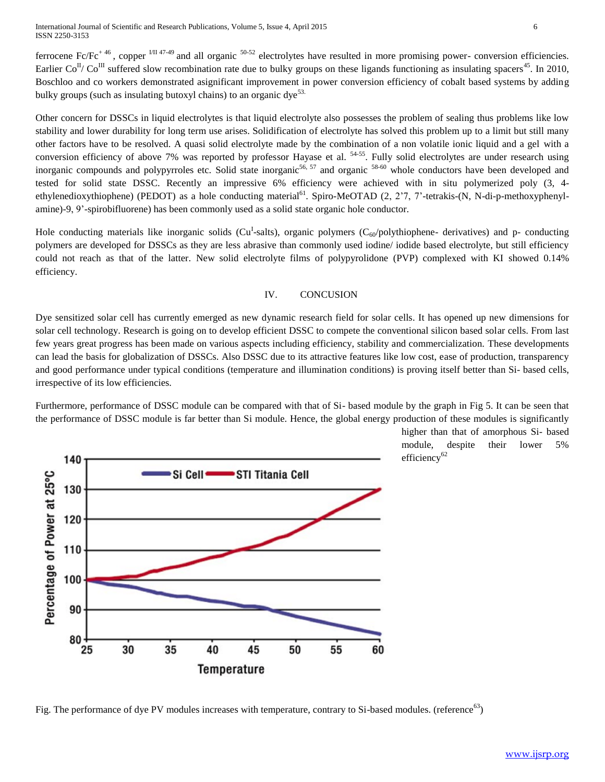International Journal of Scientific and Research Publications, Volume 5, Issue 4, April 2015 6 ISSN 2250-3153

ferrocene Fc/Fc<sup>+46</sup>, copper  $^{1/11}$  47-49 and all organic  $^{50-52}$  electrolytes have resulted in more promising power- conversion efficiencies. Earlier Co<sup>II</sup>/ Co<sup>III</sup> suffered slow recombination rate due to bulky groups on these ligands functioning as insulating spacers<sup>45</sup>. In 2010, Boschloo and co workers demonstrated asignificant improvement in power conversion efficiency of cobalt based systems by adding bulky groups (such as insulating butoxyl chains) to an organic dye<sup>53.</sup>

Other concern for DSSCs in liquid electrolytes is that liquid electrolyte also possesses the problem of sealing thus problems like low stability and lower durability for long term use arises. Solidification of electrolyte has solved this problem up to a limit but still many other factors have to be resolved. A quasi solid electrolyte made by the combination of a non volatile ionic liquid and a gel with a conversion efficiency of above 7% was reported by professor Hayase et al. <sup>54-55</sup>. Fully solid electrolytes are under research using inorganic compounds and polypyrroles etc. Solid state inorganic<sup>56, 57</sup> and organic  $58-60$  whole conductors have been developed and tested for solid state DSSC. Recently an impressive 6% efficiency were achieved with in situ polymerized poly (3, 4 ethylenedioxythiophene) (PEDOT) as a hole conducting material<sup>61</sup>. Spiro-MeOTAD (2, 2'7, 7'-tetrakis-(N, N-di-p-methoxyphenylamine)-9, 9'-spirobifluorene) has been commonly used as a solid state organic hole conductor.

Hole conducting materials like inorganic solids (Cu<sup>I</sup>-salts), organic polymers (C<sub>60</sub>/polythiophene- derivatives) and p- conducting polymers are developed for DSSCs as they are less abrasive than commonly used iodine/ iodide based electrolyte, but still efficiency could not reach as that of the latter. New solid electrolyte films of polypyrolidone (PVP) complexed with KI showed 0.14% efficiency.

## IV. CONCUSION

Dye sensitized solar cell has currently emerged as new dynamic research field for solar cells. It has opened up new dimensions for solar cell technology. Research is going on to develop efficient DSSC to compete the conventional silicon based solar cells. From last few years great progress has been made on various aspects including efficiency, stability and commercialization. These developments can lead the basis for globalization of DSSCs. Also DSSC due to its attractive features like low cost, ease of production, transparency and good performance under typical conditions (temperature and illumination conditions) is proving itself better than Si- based cells, irrespective of its low efficiencies.

Furthermore, performance of DSSC module can be compared with that of Si- based module by the graph in Fig 5. It can be seen that the performance of DSSC module is far better than Si module. Hence, the global energy production of these modules is significantly



higher than that of amorphous Si- based module, despite their lower 5% efficiency<sup>62</sup>

Fig. The performance of dye PV modules increases with temperature, contrary to Si-based modules. (reference<sup>63</sup>)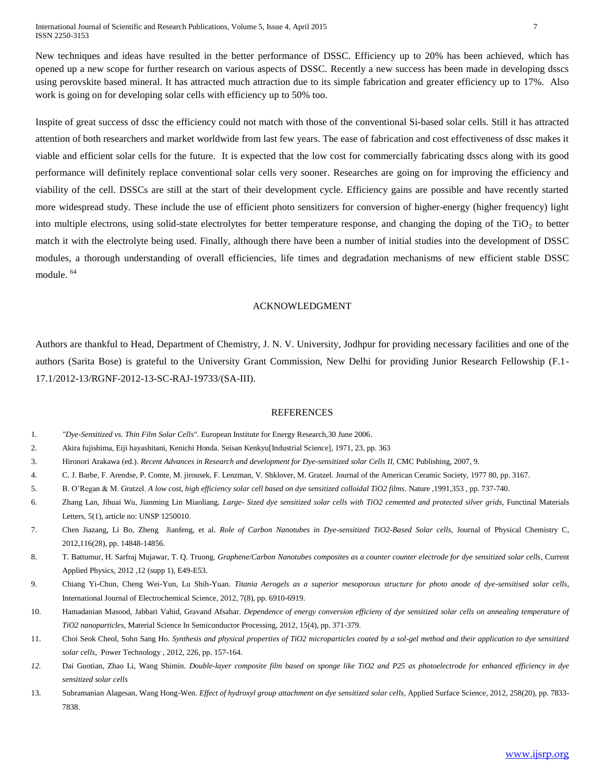International Journal of Scientific and Research Publications, Volume 5, Issue 4, April 2015 7 ISSN 2250-3153

New techniques and ideas have resulted in the better performance of DSSC. Efficiency up to 20% has been achieved, which has opened up a new scope for further research on various aspects of DSSC. Recently a new success has been made in developing dsscs using perovskite based mineral. It has attracted much attraction due to its simple fabrication and greater efficiency up to 17%. Also work is going on for developing solar cells with efficiency up to 50% too.

Inspite of great success of dssc the efficiency could not match with those of the conventional Si-based solar cells. Still it has attracted attention of both researchers and market worldwide from last few years. The ease of fabrication and cost effectiveness of dssc makes it viable and efficient solar cells for the future. It is expected that the low cost for commercially fabricating dsscs along with its good performance will definitely replace conventional solar cells very sooner. Researches are going on for improving the efficiency and viability of the cell. DSSCs are still at the start of their development cycle. Efficiency gains are possible and have recently started more widespread study. These include the use of efficient photo sensitizers for conversion of higher-energy (higher frequency) light into multiple electrons, using solid-state electrolytes for better temperature response, and changing the doping of the  $TiO<sub>2</sub>$  to better match it with the electrolyte being used. Finally, although there have been a number of initial studies into the development of DSSC modules, a thorough understanding of overall efficiencies, life times and degradation mechanisms of new efficient stable DSSC module. <sup>64</sup>

### ACKNOWLEDGMENT

Authors are thankful to Head, Department of Chemistry, J. N. V. University, Jodhpur for providing necessary facilities and one of the authors (Sarita Bose) is grateful to the University Grant Commission, New Delhi for providing Junior Research Fellowship (F.1- 17.1/2012-13/RGNF-2012-13-SC-RAJ-19733/(SA-III).

## REFERENCES

- 1. *["Dye-Sensitized vs. Thin Film Solar Cells](http://www.eifer.uni-karlsruhe.de/162.php)*". European Institute for Energy Research,30 June 2006.
- 2. Akira fujishima, Eiji hayashitani, Kenichi Honda. Seisan Kenkyu[Industrial Science], 1971, 23, pp. 363
- 3. Hironori Arakawa (ed.). *Recent Advances in Research and development for Dye-sensitized solar Cells II*, CMC Publishing, 2007, 9.
- 4. C. J. Barbe, F. Arendse, P. Comte, M. jirousek, F. Lenzman, V. Shklover, M. Gratzel. Journal of the American Ceramic Society*,* 1977 80, pp. 3167.
- 5. B. O'Regan & M. Gratzel. *A low cost, high efficiency solar cell based on dye sensitized colloidal TiO2 films*. Nature *,*1991,353 , pp. 737-740.
- 6. Zhang Lan, Jihuai Wu, Jianming Lin Miaoliang. *Large- Sized dye sensitized solar cells with TiO2 cemented and protected silver grids*, Functinal Materials Letters*,* 5(1), article no: UNSP 1250010.
- 7. Chen Jiazang, Li Bo, Zheng Jianfeng, et al. *Role of Carbon Nanotubes in Dye-sensitized TiO2-Based Solar cells,* Journal of Physical Chemistry C, 2012,116(28), pp. 14848-14856.
- 8. T. Battumur, H. Sarfraj Mujawar, T. Q. Truong. *Graphene/Carbon Nanotubes composites as a counter counter electrode for dye sensitized solar cells*, Current Applied Physics, 2012 *,*12 (supp 1), E49-E53.
- 9. Chiang Yi-Chun, Cheng Wei-Yun, Lu Shih-Yuan. *Titania Aerogels as a superior mesoporous structure for photo anode of dye-sensitised solar cells*, International Journal of Electrochemical Science*,* 2012, 7(8), pp. 6910-6919.
- 10. Hamadanian Masood, Jabbari Vahid, Gravand Afsahar. *Dependence of energy conversion efficieny of dye sensitized solar cells on annealing temperature of TiO2 nanoparticles*, Material Science In Semiconductor Processing, 2012, 15(4), pp. 371-379.
- 11. Choi Seok Cheol, Sohn Sang Ho. *Synthesis and physical properties of TiO2 microparticles coated by a sol-gel method and their application to dye sensitized solar cells*, Power Technology , 2012, 226, pp. 157-164.
- *12.* Dai Guotian, Zhao Li, Wang Shimin. *Double-layer composite film based on sponge like TiO2 and P25 as photoelectrode for enhanced efficiency in dye sensitized solar cells*
- 13. Subramanian Alagesan, Wang Hong-Wen. *Effect of hydroxyl group attachment on dye sensitized solar cells*, Applied Surface Science, 2012, 258(20), pp. 7833- 7838.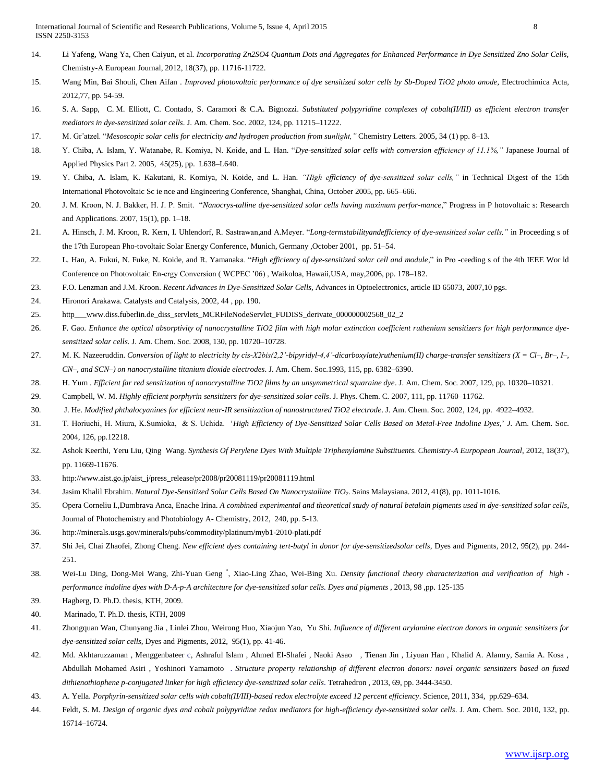- 14. Li Yafeng, Wang Ya, Chen Caiyun, et al. *Incorporating Zn2SO4 Quantum Dots and Aggregates for Enhanced Performance in Dye Sensitized Zno Solar Cells,* Chemistry-A European Journal, 2012, 18(37), pp. 11716-11722.
- 15. Wang Min, Bai Shouli, Chen Aifan . *Improved photovoltaic performance of dye sensitized solar cells by Sb-Doped TiO2 photo anode,* Electrochimica Acta, 2012*,*77, pp. 54-59.
- 16. S. A. Sapp, C. M. Elliott, C. Contado, S. Caramori & C.A. Bignozzi. *Substituted polypyridine complexes of cobalt(II/III) as efficient electron transfer mediators in dye-sensitized solar cells*. J. Am. Chem. Soc. 2002, 124, pp. 11215–11222.
- 17. M. Gr¨atzel. "*Mesoscopic solar cells for electricity and hydrogen production from sunlight,"* Chemistry Letters*.* 2005, 34 (1) pp. 8–13.
- 18. Y. Chiba, A. Islam, Y. Watanabe, R. Komiya, N. Koide, and L. Han. "*Dye-sensitized solar cells with conversion efficiency of 11.1%,"* Japanese Journal of Applied Physics Part 2*.* 2005, 45(25), pp. L638–L640.
- 19. Y. Chiba, A. Islam, K. Kakutani, R. Komiya, N. Koide, and L. Han. *"High efficiency of dye-sensitized solar cells,"* in Technical Digest of the 15th International Photovoltaic Sc ie nce and Engineering Conference, Shanghai, China, October 2005, pp. 665–666.
- 20. J. M. Kroon, N. J. Bakker, H. J. P. Smit. "*Nanocrys-talline dye-sensitized solar cells having maximum perfor-mance*," Progress in P hotovoltaic s: Research and Applications. 2007, 15(1), pp. 1–18.
- 21. A. Hinsch, J. M. Kroon, R. Kern, I. Uhlendorf, R. Sastrawan,and A.Meyer. "*Long-termstabilityandefficiency of dye-sensitized solar cells,"* in Proceeding s of the 17th European Pho-tovoltaic Solar Energy Conference, Munich, Germany ,October 2001, pp. 51–54.
- 22. L. Han, A. Fukui, N. Fuke, N. Koide, and R. Yamanaka. "*High efficiency of dye-sensitized solar cell and module*," in Pro -ceeding s of the 4th IEEE Wor ld Conference on Photovoltaic En-ergy Conversion ( WCPEC '06) , Waikoloa, Hawaii,USA, may,2006, pp. 178–182.
- 23. F.O. Lenzman and J.M. Kroon. *Recent Advances in Dye-Sensitized Solar Cells,* Advances in Optoelectronics, article ID 65073, 2007,10 pgs.
- 24. Hironori Arakawa. Catalysts and Catalysis, 2002, 44 , pp. 190.
- 25. http\_\_\_www.diss.fuberlin.de\_diss\_servlets\_MCRFileNodeServlet\_FUDISS\_derivate\_000000002568\_02\_2
- 26. F. Gao. *Enhance the optical absorptivity of nanocrystalline TiO2 film with high molar extinction coefficient ruthenium sensitizers for high performance dyesensitized solar cells.* J. Am. Chem. Soc*.* 2008, 130, pp. 10720–10728.
- 27. M. K. Nazeeruddin. *Conversion of light to electricity by cis-X2bis(2,2'-bipyridyl-4,4'-dicarboxylate)ruthenium(II) charge-transfer sensitizers (X = Cl–, Br–, I–, CN–, and SCN–) on nanocrystalline titanium dioxide electrodes*. J. Am. Chem. Soc*.*1993, 115, pp. 6382–6390.
- 28. H. Yum . *Efficient far red sensitization of nanocrystalline TiO2 films by an unsymmetrical squaraine dye*. J. Am. Chem. Soc*.* 2007, 129, pp. 10320–10321.
- 29. Campbell, W. M. *Highly efficient porphyrin sensitizers for dye-sensitized solar cells*. J. Phys. Chem. C*.* 2007, 111, pp. 11760–11762.
- 30. J. He. *Modified phthalocyanines for efficient near-IR sensitization of nanostructured TiO2 electrode*. J. Am. Chem. Soc*.* 2002, 124, pp. 4922–4932.
- 31. T. Horiuchi, H. Miura, K.Sumioka, & S. Uchida. '*High Efficiency of Dye-Sensitized Solar Cells Based on Metal-Free Indoline Dyes,*' *J.* Am. Chem. Soc*.* 2004, 126, pp.12218.
- 32. Ashok Keerthi, Yeru Liu, Qing Wang. *Synthesis Of Perylene Dyes With Multiple Triphenylamine Substituents. Chemistry-A Eurpopean Journal*, 2012, 18(37), pp. 11669-11676.
- 33. [http://www.aist.go.jp/aist\\_j/press\\_release/pr2008/pr20081119/pr20081119.html](http://www.aist.go.jp/aist_j/press_release/pr2008/pr20081119/pr20081119.html)
- 34. Jasim Khalil Ebrahim. *Natural Dye-Sensitized Solar Cells Based On Nanocrystalline TiO2*. Sains Malaysiana. 2012, 41(8), pp. 1011-1016.
- 35. Opera Corneliu I.,Dumbrava Anca, Enache Irina. *A combined experimental and theoretical study of natural betalain pigments used in dye-sensitized solar cells*, Journal of Photochemistry and Photobiology A- Chemistry*,* 2012, 240, pp. 5-13.
- 36. <http://minerals.usgs.gov/minerals/pubs/commodity/platinum/myb1-2010-plati.pdf>
- 37. Shi Jei, Chai Zhaofei, Zhong Cheng. New efficient dyes containing tert-butyl in donor for dye-sensitizedsolar cells, Dyes and Pigments, 2012, 95(2), pp. 244-251.
- 38. Wei-Lu Ding, Dong-Mei Wang, Zhi-Yuan Geng \* , Xiao-Ling Zhao, Wei-Bing Xu. *Density functional theory characterization and verification of high performance indoline dyes with D-A-p-A architecture for dye-sensitized solar cells. Dyes and pigments* , 2013, 98 ,pp. 125-135
- 39. Hagberg, D. Ph.D. thesis, KTH, 2009.
- 40. Marinado, T. Ph.D. thesis, KTH, 2009
- 41. [Zhongquan Wan, Chunyang Jia](http://www.sciencedirect.com/science/article/pii/S0143720812000848), [Linlei Zhou, Weirong Huo, Xiaojun Yao, Yu Shi.](http://www.sciencedirect.com/science/article/pii/S0143720812000848) *Influence of different arylamine electron donors in organic sensitizers for dye-sensitized solar cells*, Dyes and Pigments*,* 2012, 95(1), pp. 41-46.
- 42. Md. Akhtaruzzaman , Menggenbateer c, Ashraful Islam , Ahmed El-Shafei , Naoki Asao , Tienan Jin , Liyuan Han , Khalid A. Alamry, Samia A. Kosa , Abdullah Mohamed Asiri , Yoshinori Yamamoto . *Structure property relationship of different electron donors: novel organic sensitizers based on fused dithienothiophene p-conjugated linker for high efficiency dye-sensitized solar cells*. Tetrahedron , 2013, 69, pp. 3444-3450.
- 43. A. Yella. *Porphyrin-sensitized solar cells with cobalt(II/III)-based redox electrolyte exceed 12 percent efficiency*. Science*,* 2011, 334, pp.629–634.
- 44. Feldt, S. M. *Design of organic dyes and cobalt polypyridine redox mediators for high-efficiency dye-sensitized solar cells*. J. Am. Chem. Soc*.* 2010, 132, pp. 16714–16724.